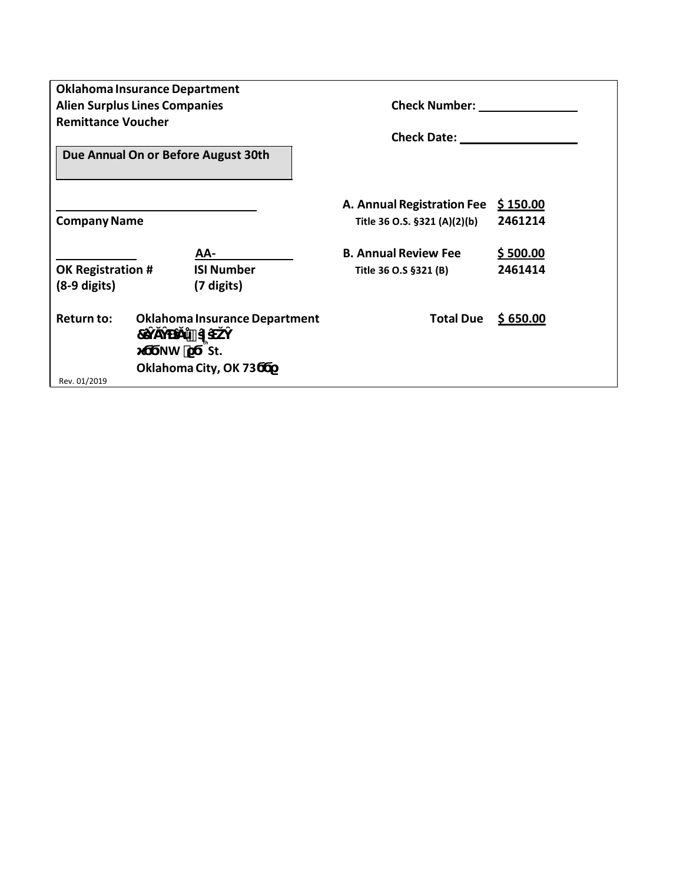| <b>Oklahoma Insurance Department</b> |                |                                      |                              |          |
|--------------------------------------|----------------|--------------------------------------|------------------------------|----------|
| <b>Alien Surplus Lines Companies</b> |                |                                      | <b>Check Number:</b>         |          |
| <b>Remittance Voucher</b>            |                |                                      |                              |          |
|                                      |                |                                      | <b>Check Date:</b>           |          |
| Due Annual On or Before August 30th  |                |                                      |                              |          |
|                                      |                |                                      | A. Annual Registration Fee   | \$150.00 |
| <b>Company Name</b>                  |                |                                      | Title 36 O.S. §321 (A)(2)(b) | 2461214  |
|                                      |                |                                      |                              |          |
|                                      |                | AA-                                  | <b>B. Annual Review Fee</b>  | \$500.00 |
| <b>OK Registration #</b>             |                | <b>ISI Number</b>                    | Title 36 O.S §321 (B)        | 2461414  |
| $(8-9$ digits)                       |                | (7 digits)                           |                              |          |
|                                      |                |                                      |                              |          |
| Return to:                           |                | <b>Oklahoma Insurance Department</b> | <b>Total Due</b>             | \$650.00 |
|                                      | $\overline{7}$ |                                      |                              |          |
| St.<br><b>NW</b>                     |                |                                      |                              |          |
| Oklahoma City, OK 73                 |                |                                      |                              |          |
| Rev. 01/2019                         |                |                                      |                              |          |